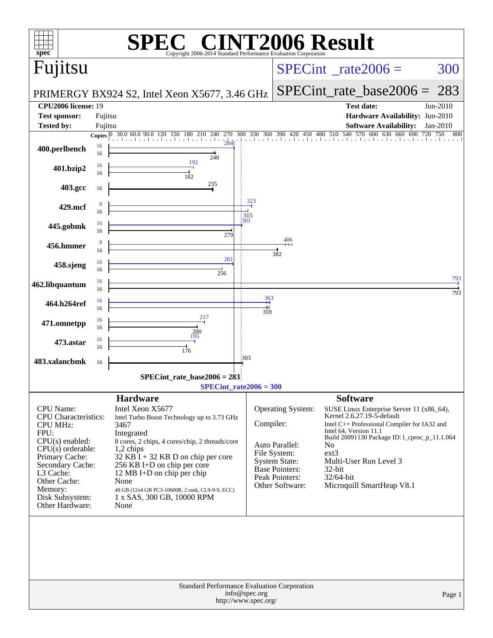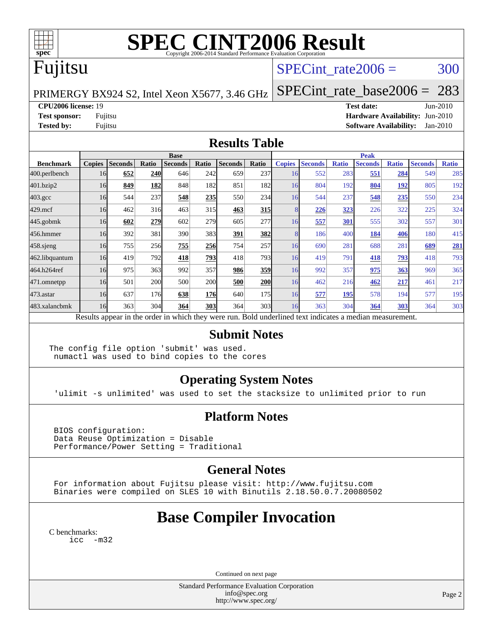

# **[SPEC CINT2006 Result](http://www.spec.org/auto/cpu2006/Docs/result-fields.html#SPECCINT2006Result)**

## Fujitsu

### SPECint rate $2006 = 300$

PRIMERGY BX924 S2, Intel Xeon X5677, 3.46 GHz

[SPECint\\_rate\\_base2006 =](http://www.spec.org/auto/cpu2006/Docs/result-fields.html#SPECintratebase2006) 283

**[CPU2006 license:](http://www.spec.org/auto/cpu2006/Docs/result-fields.html#CPU2006license)** 19 **[Test date:](http://www.spec.org/auto/cpu2006/Docs/result-fields.html#Testdate)** Jun-2010

**[Test sponsor:](http://www.spec.org/auto/cpu2006/Docs/result-fields.html#Testsponsor)** Fujitsu **[Hardware Availability:](http://www.spec.org/auto/cpu2006/Docs/result-fields.html#HardwareAvailability)** Jun-2010 **[Tested by:](http://www.spec.org/auto/cpu2006/Docs/result-fields.html#Testedby)** Fujitsu **[Software Availability:](http://www.spec.org/auto/cpu2006/Docs/result-fields.html#SoftwareAvailability)** Jan-2010

#### **[Results Table](http://www.spec.org/auto/cpu2006/Docs/result-fields.html#ResultsTable)**

|                    | <b>Base</b>   |                |            |                |            |                                                                                                          |            | <b>Peak</b>   |                |              |                |              |                |              |
|--------------------|---------------|----------------|------------|----------------|------------|----------------------------------------------------------------------------------------------------------|------------|---------------|----------------|--------------|----------------|--------------|----------------|--------------|
| <b>Benchmark</b>   | <b>Copies</b> | <b>Seconds</b> | Ratio      | <b>Seconds</b> | Ratio      | <b>Seconds</b>                                                                                           | Ratio      | <b>Copies</b> | <b>Seconds</b> | <b>Ratio</b> | <b>Seconds</b> | <b>Ratio</b> | <b>Seconds</b> | <b>Ratio</b> |
| 400.perlbench      | 16            | 652            | <b>240</b> | 646            | 242        | 659                                                                                                      | 237        | 16            | 552            | 283          | 551            | 284          | 549            | 285          |
| 401.bzip2          | 16            | 849            | 182        | 848            | 182        | 851                                                                                                      | 182        | 16            | 804            | 192          | 804            | <u> 192</u>  | 805            | 192          |
| $403.\mathrm{gcc}$ | 16            | 544            | 237        | 548            | 235        | 550                                                                                                      | 234        | 16            | 544            | 237          | 548            | 235          | 550            | 234          |
| $429$ .mcf         | 16            | 462            | 316        | 463            | 315        | 463                                                                                                      | <u>315</u> |               | <u>226</u>     | 323          | 226            | 322          | 225            | 324          |
| $445$ .gobmk       | 16            | 602            | 279        | 602            | 279        | 605                                                                                                      | 277        | 16            | 557            | 301          | 555            | 302          | 557            | 301          |
| 456.hmmer          | 16            | 392            | 381        | 390            | 383        | 391                                                                                                      | 382        |               | 186            | 400          | 184            | 406          | 180            | 415          |
| $458$ .sjeng       | 16            | 755            | 256        | 755            | 256        | 754                                                                                                      | 257        | 16            | 690            | 281          | 688            | 281          | 689            | 281          |
| 462.libquantum     | 16            | 419            | 792        | 418            | 793        | 418                                                                                                      | 793        | 16            | 419            | 791          | 418            | <u>793</u>   | 418            | 793          |
| 464.h264ref        | 16            | 975            | 363        | 992            | 357        | 986                                                                                                      | 359        | 16            | 992            | 357          | 975            | 363          | 969            | 365          |
| 471.omnetpp        | 16            | 501            | 200        | 500            | 200        | 500                                                                                                      | 200        | 16            | 462            | 216          | 462            | 217          | 461            | 217          |
| 473.astar          | 16            | 637            | 176        | 638            | <b>176</b> | 640                                                                                                      | 175        | 16            | 577            | 195          | 578            | 194          | 577            | 195          |
| 483.xalancbmk      | 16            | 363            | 304        | 364            | 303        | 364                                                                                                      | 303        | 16            | 363            | 304          | 364            | 303          | 364            | 303          |
|                    |               |                |            |                |            | Results appear in the order in which they were run. Bold underlined text indicates a median measurement. |            |               |                |              |                |              |                |              |

#### **[Submit Notes](http://www.spec.org/auto/cpu2006/Docs/result-fields.html#SubmitNotes)**

The config file option 'submit' was used. numactl was used to bind copies to the cores

### **[Operating System Notes](http://www.spec.org/auto/cpu2006/Docs/result-fields.html#OperatingSystemNotes)**

'ulimit -s unlimited' was used to set the stacksize to unlimited prior to run

### **[Platform Notes](http://www.spec.org/auto/cpu2006/Docs/result-fields.html#PlatformNotes)**

 BIOS configuration: Data Reuse Optimization = Disable Performance/Power Setting = Traditional

### **[General Notes](http://www.spec.org/auto/cpu2006/Docs/result-fields.html#GeneralNotes)**

 For information about Fujitsu please visit: <http://www.fujitsu.com> Binaries were compiled on SLES 10 with Binutils 2.18.50.0.7.20080502

### **[Base Compiler Invocation](http://www.spec.org/auto/cpu2006/Docs/result-fields.html#BaseCompilerInvocation)**

[C benchmarks](http://www.spec.org/auto/cpu2006/Docs/result-fields.html#Cbenchmarks): [icc -m32](http://www.spec.org/cpu2006/results/res2010q3/cpu2006-20100618-11749.flags.html#user_CCbase_intel_icc_32bit_5ff4a39e364c98233615fdd38438c6f2)

Continued on next page

Standard Performance Evaluation Corporation [info@spec.org](mailto:info@spec.org) <http://www.spec.org/>

Page 2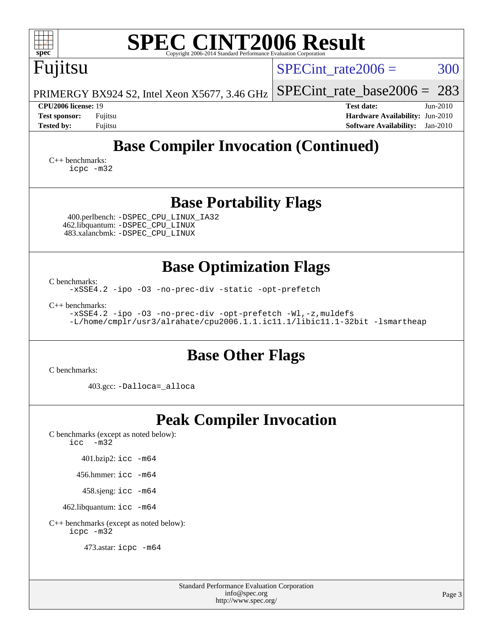473.astar: [icpc -m64](http://www.spec.org/cpu2006/results/res2010q3/cpu2006-20100618-11749.flags.html#user_peakCXXLD473_astar_intel_icpc_64bit_fc66a5337ce925472a5c54ad6a0de310)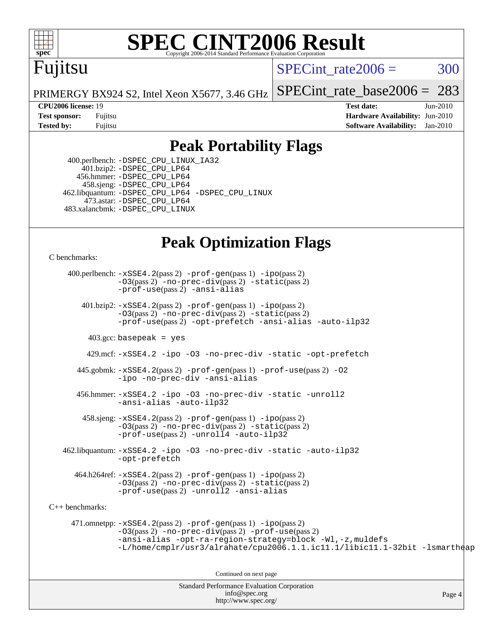

# **[SPEC CINT2006 Result](http://www.spec.org/auto/cpu2006/Docs/result-fields.html#SPECCINT2006Result)**

## Fujitsu

 $SPECint rate2006 = 300$ 

[SPECint\\_rate\\_base2006 =](http://www.spec.org/auto/cpu2006/Docs/result-fields.html#SPECintratebase2006) 283

Page 4

PRIMERGY BX924 S2, Intel Xeon X5677, 3.46 GHz

**[CPU2006 license:](http://www.spec.org/auto/cpu2006/Docs/result-fields.html#CPU2006license)** 19 **[Test date:](http://www.spec.org/auto/cpu2006/Docs/result-fields.html#Testdate)** Jun-2010 **[Test sponsor:](http://www.spec.org/auto/cpu2006/Docs/result-fields.html#Testsponsor)** Fujitsu **[Hardware Availability:](http://www.spec.org/auto/cpu2006/Docs/result-fields.html#HardwareAvailability)** Jun-2010 **[Tested by:](http://www.spec.org/auto/cpu2006/Docs/result-fields.html#Testedby)** Fujitsu **[Software Availability:](http://www.spec.org/auto/cpu2006/Docs/result-fields.html#SoftwareAvailability)** Jan-2010

### **[Peak Portability Flags](http://www.spec.org/auto/cpu2006/Docs/result-fields.html#PeakPortabilityFlags)**

 400.perlbench: [-DSPEC\\_CPU\\_LINUX\\_IA32](http://www.spec.org/cpu2006/results/res2010q3/cpu2006-20100618-11749.flags.html#b400.perlbench_peakCPORTABILITY_DSPEC_CPU_LINUX_IA32) 401.bzip2: [-DSPEC\\_CPU\\_LP64](http://www.spec.org/cpu2006/results/res2010q3/cpu2006-20100618-11749.flags.html#suite_peakCPORTABILITY401_bzip2_DSPEC_CPU_LP64) 456.hmmer: [-DSPEC\\_CPU\\_LP64](http://www.spec.org/cpu2006/results/res2010q3/cpu2006-20100618-11749.flags.html#suite_peakCPORTABILITY456_hmmer_DSPEC_CPU_LP64) 458.sjeng: [-DSPEC\\_CPU\\_LP64](http://www.spec.org/cpu2006/results/res2010q3/cpu2006-20100618-11749.flags.html#suite_peakCPORTABILITY458_sjeng_DSPEC_CPU_LP64) 462.libquantum: [-DSPEC\\_CPU\\_LP64](http://www.spec.org/cpu2006/results/res2010q3/cpu2006-20100618-11749.flags.html#suite_peakCPORTABILITY462_libquantum_DSPEC_CPU_LP64) [-DSPEC\\_CPU\\_LINUX](http://www.spec.org/cpu2006/results/res2010q3/cpu2006-20100618-11749.flags.html#b462.libquantum_peakCPORTABILITY_DSPEC_CPU_LINUX) 473.astar: [-DSPEC\\_CPU\\_LP64](http://www.spec.org/cpu2006/results/res2010q3/cpu2006-20100618-11749.flags.html#suite_peakCXXPORTABILITY473_astar_DSPEC_CPU_LP64) 483.xalancbmk: [-DSPEC\\_CPU\\_LINUX](http://www.spec.org/cpu2006/results/res2010q3/cpu2006-20100618-11749.flags.html#b483.xalancbmk_peakCXXPORTABILITY_DSPEC_CPU_LINUX)

### **[Peak Optimization Flags](http://www.spec.org/auto/cpu2006/Docs/result-fields.html#PeakOptimizationFlags)**

[C benchmarks](http://www.spec.org/auto/cpu2006/Docs/result-fields.html#Cbenchmarks):

Standard Performance Evaluation Corporation 400.perlbench: [-xSSE4.2](http://www.spec.org/cpu2006/results/res2010q3/cpu2006-20100618-11749.flags.html#user_peakPASS2_CFLAGSPASS2_LDCFLAGS400_perlbench_f-xSSE42_f91528193cf0b216347adb8b939d4107)(pass 2) [-prof-gen](http://www.spec.org/cpu2006/results/res2010q3/cpu2006-20100618-11749.flags.html#user_peakPASS1_CFLAGSPASS1_LDCFLAGS400_perlbench_prof_gen_e43856698f6ca7b7e442dfd80e94a8fc)(pass 1) [-ipo](http://www.spec.org/cpu2006/results/res2010q3/cpu2006-20100618-11749.flags.html#user_peakPASS2_CFLAGSPASS2_LDCFLAGS400_perlbench_f-ipo)(pass 2) [-O3](http://www.spec.org/cpu2006/results/res2010q3/cpu2006-20100618-11749.flags.html#user_peakPASS2_CFLAGSPASS2_LDCFLAGS400_perlbench_f-O3)(pass 2) [-no-prec-div](http://www.spec.org/cpu2006/results/res2010q3/cpu2006-20100618-11749.flags.html#user_peakPASS2_CFLAGSPASS2_LDCFLAGS400_perlbench_f-no-prec-div)(pass 2) [-static](http://www.spec.org/cpu2006/results/res2010q3/cpu2006-20100618-11749.flags.html#user_peakPASS2_CFLAGSPASS2_LDCFLAGS400_perlbench_f-static)(pass 2) [-prof-use](http://www.spec.org/cpu2006/results/res2010q3/cpu2006-20100618-11749.flags.html#user_peakPASS2_CFLAGSPASS2_LDCFLAGS400_perlbench_prof_use_bccf7792157ff70d64e32fe3e1250b55)(pass 2) [-ansi-alias](http://www.spec.org/cpu2006/results/res2010q3/cpu2006-20100618-11749.flags.html#user_peakCOPTIMIZE400_perlbench_f-ansi-alias) 401.bzip2: [-xSSE4.2](http://www.spec.org/cpu2006/results/res2010q3/cpu2006-20100618-11749.flags.html#user_peakPASS2_CFLAGSPASS2_LDCFLAGS401_bzip2_f-xSSE42_f91528193cf0b216347adb8b939d4107)(pass 2) [-prof-gen](http://www.spec.org/cpu2006/results/res2010q3/cpu2006-20100618-11749.flags.html#user_peakPASS1_CFLAGSPASS1_LDCFLAGS401_bzip2_prof_gen_e43856698f6ca7b7e442dfd80e94a8fc)(pass 1) [-ipo](http://www.spec.org/cpu2006/results/res2010q3/cpu2006-20100618-11749.flags.html#user_peakPASS2_CFLAGSPASS2_LDCFLAGS401_bzip2_f-ipo)(pass 2) [-O3](http://www.spec.org/cpu2006/results/res2010q3/cpu2006-20100618-11749.flags.html#user_peakPASS2_CFLAGSPASS2_LDCFLAGS401_bzip2_f-O3)(pass 2) [-no-prec-div](http://www.spec.org/cpu2006/results/res2010q3/cpu2006-20100618-11749.flags.html#user_peakPASS2_CFLAGSPASS2_LDCFLAGS401_bzip2_f-no-prec-div)(pass 2) [-static](http://www.spec.org/cpu2006/results/res2010q3/cpu2006-20100618-11749.flags.html#user_peakPASS2_CFLAGSPASS2_LDCFLAGS401_bzip2_f-static)(pass 2) [-prof-use](http://www.spec.org/cpu2006/results/res2010q3/cpu2006-20100618-11749.flags.html#user_peakPASS2_CFLAGSPASS2_LDCFLAGS401_bzip2_prof_use_bccf7792157ff70d64e32fe3e1250b55)(pass 2) [-opt-prefetch](http://www.spec.org/cpu2006/results/res2010q3/cpu2006-20100618-11749.flags.html#user_peakCOPTIMIZE401_bzip2_f-opt-prefetch) [-ansi-alias](http://www.spec.org/cpu2006/results/res2010q3/cpu2006-20100618-11749.flags.html#user_peakCOPTIMIZE401_bzip2_f-ansi-alias) [-auto-ilp32](http://www.spec.org/cpu2006/results/res2010q3/cpu2006-20100618-11749.flags.html#user_peakCOPTIMIZE401_bzip2_f-auto-ilp32)  $403.\text{gcc: basepeak}$  = yes 429.mcf: [-xSSE4.2](http://www.spec.org/cpu2006/results/res2010q3/cpu2006-20100618-11749.flags.html#user_peakCOPTIMIZE429_mcf_f-xSSE42_f91528193cf0b216347adb8b939d4107) [-ipo](http://www.spec.org/cpu2006/results/res2010q3/cpu2006-20100618-11749.flags.html#user_peakCOPTIMIZE429_mcf_f-ipo) [-O3](http://www.spec.org/cpu2006/results/res2010q3/cpu2006-20100618-11749.flags.html#user_peakCOPTIMIZE429_mcf_f-O3) [-no-prec-div](http://www.spec.org/cpu2006/results/res2010q3/cpu2006-20100618-11749.flags.html#user_peakCOPTIMIZE429_mcf_f-no-prec-div) [-static](http://www.spec.org/cpu2006/results/res2010q3/cpu2006-20100618-11749.flags.html#user_peakCOPTIMIZE429_mcf_f-static) [-opt-prefetch](http://www.spec.org/cpu2006/results/res2010q3/cpu2006-20100618-11749.flags.html#user_peakCOPTIMIZE429_mcf_f-opt-prefetch) 445.gobmk: [-xSSE4.2](http://www.spec.org/cpu2006/results/res2010q3/cpu2006-20100618-11749.flags.html#user_peakPASS2_CFLAGSPASS2_LDCFLAGS445_gobmk_f-xSSE42_f91528193cf0b216347adb8b939d4107)(pass 2) [-prof-gen](http://www.spec.org/cpu2006/results/res2010q3/cpu2006-20100618-11749.flags.html#user_peakPASS1_CFLAGSPASS1_LDCFLAGS445_gobmk_prof_gen_e43856698f6ca7b7e442dfd80e94a8fc)(pass 1) [-prof-use](http://www.spec.org/cpu2006/results/res2010q3/cpu2006-20100618-11749.flags.html#user_peakPASS2_CFLAGSPASS2_LDCFLAGS445_gobmk_prof_use_bccf7792157ff70d64e32fe3e1250b55)(pass 2) [-O2](http://www.spec.org/cpu2006/results/res2010q3/cpu2006-20100618-11749.flags.html#user_peakCOPTIMIZE445_gobmk_f-O2) [-ipo](http://www.spec.org/cpu2006/results/res2010q3/cpu2006-20100618-11749.flags.html#user_peakCOPTIMIZE445_gobmk_f-ipo) [-no-prec-div](http://www.spec.org/cpu2006/results/res2010q3/cpu2006-20100618-11749.flags.html#user_peakCOPTIMIZE445_gobmk_f-no-prec-div) [-ansi-alias](http://www.spec.org/cpu2006/results/res2010q3/cpu2006-20100618-11749.flags.html#user_peakCOPTIMIZE445_gobmk_f-ansi-alias) 456.hmmer: [-xSSE4.2](http://www.spec.org/cpu2006/results/res2010q3/cpu2006-20100618-11749.flags.html#user_peakCOPTIMIZE456_hmmer_f-xSSE42_f91528193cf0b216347adb8b939d4107) [-ipo](http://www.spec.org/cpu2006/results/res2010q3/cpu2006-20100618-11749.flags.html#user_peakCOPTIMIZE456_hmmer_f-ipo) [-O3](http://www.spec.org/cpu2006/results/res2010q3/cpu2006-20100618-11749.flags.html#user_peakCOPTIMIZE456_hmmer_f-O3) [-no-prec-div](http://www.spec.org/cpu2006/results/res2010q3/cpu2006-20100618-11749.flags.html#user_peakCOPTIMIZE456_hmmer_f-no-prec-div) [-static](http://www.spec.org/cpu2006/results/res2010q3/cpu2006-20100618-11749.flags.html#user_peakCOPTIMIZE456_hmmer_f-static) [-unroll2](http://www.spec.org/cpu2006/results/res2010q3/cpu2006-20100618-11749.flags.html#user_peakCOPTIMIZE456_hmmer_f-unroll_784dae83bebfb236979b41d2422d7ec2) [-ansi-alias](http://www.spec.org/cpu2006/results/res2010q3/cpu2006-20100618-11749.flags.html#user_peakCOPTIMIZE456_hmmer_f-ansi-alias) [-auto-ilp32](http://www.spec.org/cpu2006/results/res2010q3/cpu2006-20100618-11749.flags.html#user_peakCOPTIMIZE456_hmmer_f-auto-ilp32)  $458 \text{.}$  sjeng:  $-xSSE4$ .  $2(\text{pass 2})$  -prof-qen(pass 1) [-ipo](http://www.spec.org/cpu2006/results/res2010q3/cpu2006-20100618-11749.flags.html#user_peakPASS2_CFLAGSPASS2_LDCFLAGS458_sjeng_f-ipo)(pass 2) [-O3](http://www.spec.org/cpu2006/results/res2010q3/cpu2006-20100618-11749.flags.html#user_peakPASS2_CFLAGSPASS2_LDCFLAGS458_sjeng_f-O3)(pass 2) [-no-prec-div](http://www.spec.org/cpu2006/results/res2010q3/cpu2006-20100618-11749.flags.html#user_peakPASS2_CFLAGSPASS2_LDCFLAGS458_sjeng_f-no-prec-div)(pass 2) [-static](http://www.spec.org/cpu2006/results/res2010q3/cpu2006-20100618-11749.flags.html#user_peakPASS2_CFLAGSPASS2_LDCFLAGS458_sjeng_f-static)(pass 2) [-prof-use](http://www.spec.org/cpu2006/results/res2010q3/cpu2006-20100618-11749.flags.html#user_peakPASS2_CFLAGSPASS2_LDCFLAGS458_sjeng_prof_use_bccf7792157ff70d64e32fe3e1250b55)(pass 2) [-unroll4](http://www.spec.org/cpu2006/results/res2010q3/cpu2006-20100618-11749.flags.html#user_peakCOPTIMIZE458_sjeng_f-unroll_4e5e4ed65b7fd20bdcd365bec371b81f) [-auto-ilp32](http://www.spec.org/cpu2006/results/res2010q3/cpu2006-20100618-11749.flags.html#user_peakCOPTIMIZE458_sjeng_f-auto-ilp32) 462.libquantum: [-xSSE4.2](http://www.spec.org/cpu2006/results/res2010q3/cpu2006-20100618-11749.flags.html#user_peakCOPTIMIZE462_libquantum_f-xSSE42_f91528193cf0b216347adb8b939d4107) [-ipo](http://www.spec.org/cpu2006/results/res2010q3/cpu2006-20100618-11749.flags.html#user_peakCOPTIMIZE462_libquantum_f-ipo) [-O3](http://www.spec.org/cpu2006/results/res2010q3/cpu2006-20100618-11749.flags.html#user_peakCOPTIMIZE462_libquantum_f-O3) [-no-prec-div](http://www.spec.org/cpu2006/results/res2010q3/cpu2006-20100618-11749.flags.html#user_peakCOPTIMIZE462_libquantum_f-no-prec-div) [-static](http://www.spec.org/cpu2006/results/res2010q3/cpu2006-20100618-11749.flags.html#user_peakCOPTIMIZE462_libquantum_f-static) [-auto-ilp32](http://www.spec.org/cpu2006/results/res2010q3/cpu2006-20100618-11749.flags.html#user_peakCOPTIMIZE462_libquantum_f-auto-ilp32) [-opt-prefetch](http://www.spec.org/cpu2006/results/res2010q3/cpu2006-20100618-11749.flags.html#user_peakCOPTIMIZE462_libquantum_f-opt-prefetch) 464.h264ref: [-xSSE4.2](http://www.spec.org/cpu2006/results/res2010q3/cpu2006-20100618-11749.flags.html#user_peakPASS2_CFLAGSPASS2_LDCFLAGS464_h264ref_f-xSSE42_f91528193cf0b216347adb8b939d4107)(pass 2) [-prof-gen](http://www.spec.org/cpu2006/results/res2010q3/cpu2006-20100618-11749.flags.html#user_peakPASS1_CFLAGSPASS1_LDCFLAGS464_h264ref_prof_gen_e43856698f6ca7b7e442dfd80e94a8fc)(pass 1) [-ipo](http://www.spec.org/cpu2006/results/res2010q3/cpu2006-20100618-11749.flags.html#user_peakPASS2_CFLAGSPASS2_LDCFLAGS464_h264ref_f-ipo)(pass 2) [-O3](http://www.spec.org/cpu2006/results/res2010q3/cpu2006-20100618-11749.flags.html#user_peakPASS2_CFLAGSPASS2_LDCFLAGS464_h264ref_f-O3)(pass 2) [-no-prec-div](http://www.spec.org/cpu2006/results/res2010q3/cpu2006-20100618-11749.flags.html#user_peakPASS2_CFLAGSPASS2_LDCFLAGS464_h264ref_f-no-prec-div)(pass 2) [-static](http://www.spec.org/cpu2006/results/res2010q3/cpu2006-20100618-11749.flags.html#user_peakPASS2_CFLAGSPASS2_LDCFLAGS464_h264ref_f-static)(pass 2) [-prof-use](http://www.spec.org/cpu2006/results/res2010q3/cpu2006-20100618-11749.flags.html#user_peakPASS2_CFLAGSPASS2_LDCFLAGS464_h264ref_prof_use_bccf7792157ff70d64e32fe3e1250b55)(pass 2) [-unroll2](http://www.spec.org/cpu2006/results/res2010q3/cpu2006-20100618-11749.flags.html#user_peakCOPTIMIZE464_h264ref_f-unroll_784dae83bebfb236979b41d2422d7ec2) [-ansi-alias](http://www.spec.org/cpu2006/results/res2010q3/cpu2006-20100618-11749.flags.html#user_peakCOPTIMIZE464_h264ref_f-ansi-alias) [C++ benchmarks:](http://www.spec.org/auto/cpu2006/Docs/result-fields.html#CXXbenchmarks) 471.omnetpp: [-xSSE4.2](http://www.spec.org/cpu2006/results/res2010q3/cpu2006-20100618-11749.flags.html#user_peakPASS2_CXXFLAGSPASS2_LDCXXFLAGS471_omnetpp_f-xSSE42_f91528193cf0b216347adb8b939d4107)(pass 2) [-prof-gen](http://www.spec.org/cpu2006/results/res2010q3/cpu2006-20100618-11749.flags.html#user_peakPASS1_CXXFLAGSPASS1_LDCXXFLAGS471_omnetpp_prof_gen_e43856698f6ca7b7e442dfd80e94a8fc)(pass 1) [-ipo](http://www.spec.org/cpu2006/results/res2010q3/cpu2006-20100618-11749.flags.html#user_peakPASS2_CXXFLAGSPASS2_LDCXXFLAGS471_omnetpp_f-ipo)(pass 2) [-O3](http://www.spec.org/cpu2006/results/res2010q3/cpu2006-20100618-11749.flags.html#user_peakPASS2_CXXFLAGSPASS2_LDCXXFLAGS471_omnetpp_f-O3)(pass 2) [-no-prec-div](http://www.spec.org/cpu2006/results/res2010q3/cpu2006-20100618-11749.flags.html#user_peakPASS2_CXXFLAGSPASS2_LDCXXFLAGS471_omnetpp_f-no-prec-div)(pass 2) [-prof-use](http://www.spec.org/cpu2006/results/res2010q3/cpu2006-20100618-11749.flags.html#user_peakPASS2_CXXFLAGSPASS2_LDCXXFLAGS471_omnetpp_prof_use_bccf7792157ff70d64e32fe3e1250b55)(pass 2) [-ansi-alias](http://www.spec.org/cpu2006/results/res2010q3/cpu2006-20100618-11749.flags.html#user_peakCXXOPTIMIZE471_omnetpp_f-ansi-alias) [-opt-ra-region-strategy=block](http://www.spec.org/cpu2006/results/res2010q3/cpu2006-20100618-11749.flags.html#user_peakCXXOPTIMIZE471_omnetpp_f-opt-ra-region-strategy-block_a0a37c372d03933b2a18d4af463c1f69) [-Wl,-z,muldefs](http://www.spec.org/cpu2006/results/res2010q3/cpu2006-20100618-11749.flags.html#user_peakEXTRA_LDFLAGS471_omnetpp_link_force_multiple1_74079c344b956b9658436fd1b6dd3a8a) [-L/home/cmplr/usr3/alrahate/cpu2006.1.1.ic11.1/libic11.1-32bit -lsmartheap](http://www.spec.org/cpu2006/results/res2010q3/cpu2006-20100618-11749.flags.html#user_peakEXTRA_LIBS471_omnetpp_SmartHeap_d86dffe4a79b79ef8890d5cce17030c3) Continued on next page

> [info@spec.org](mailto:info@spec.org) <http://www.spec.org/>